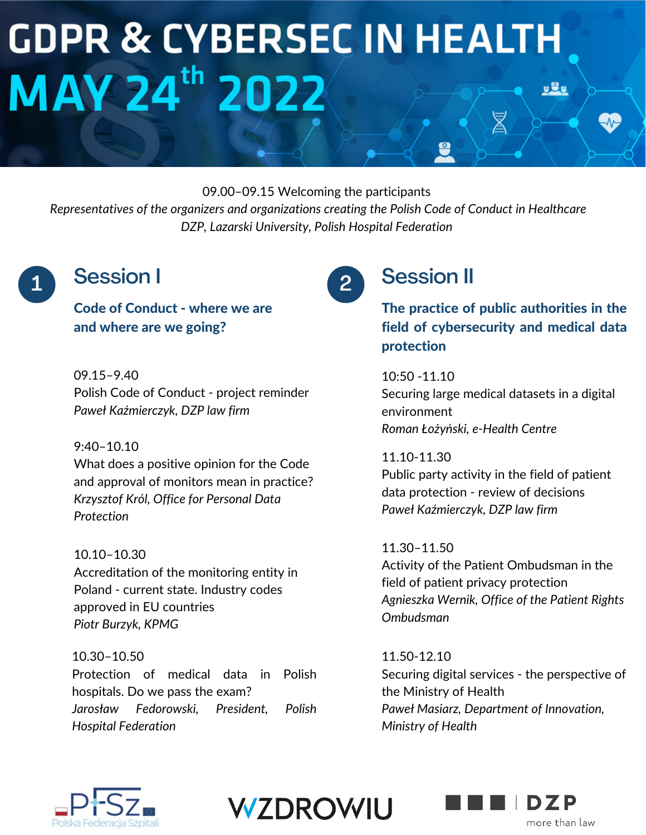# **GDPR & CYBERSEC IN HEALTH MAY 24th 2022**  $929$ Ź

09.00–09.15 Welcoming the participants

*Representatives of the organizers and organizations creating the Polish Code of Conduct in Healthcare DZP, Lazarski University, Polish Hospital Federation*

### 1 Session I 2

Code of Conduct - where we are and where are we going?

09.15–9.40 Polish Code of Conduct - project reminder *Paweł Kaźmierczyk, DZP law firm*

#### 9:40–10.10

What does a positive opinion for the Code and approval of monitors mean in practice? *Krzysztof Król, Office for Personal Data Protection*

10.10–10.30 Accreditation of the monitoring entity in Poland - current state. Industry codes approved in EU countries *Piotr Burzyk, KPMG*

10.30–10.50 Protection of medical data in Polish hospitals. Do we pass the exam? *Jarosław Fedorowski, President, Polish Hospital Federation*

## Session II

The practice of public authorities in the field of cybersecurity and medical data protection

 $10:50 - 11.10$ Securing large medical datasets in a digital environment *Roman Łożyński, e-Health Centre*

11.10-11.30 Public party activity in the field of patient data protection - review of decisions *Paweł Kaźmierczyk, DZP law firm*

11.30–11.50 Activity of the Patient Ombudsman in the field of patient privacy protection *Agnieszka Wernik, Office of the Patient Rights Ombudsman*

11.50-12.10 Securing digital services - the perspective of the Ministry of Health *Paweł Masiarz, Department of Innovation, Ministry of Health*





more than law